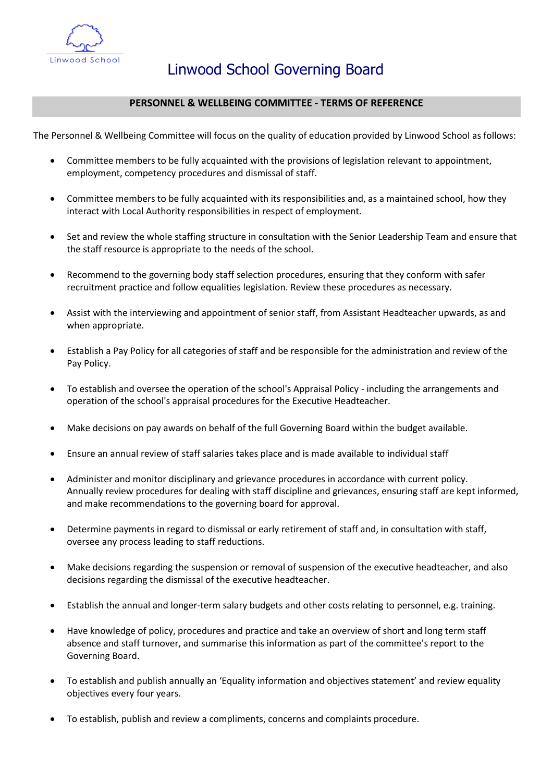

## **PERSONNEL & WELLBEING COMMITTEE - TERMS OF REFERENCE**

The Personnel & Wellbeing Committee will focus on the quality of education provided by Linwood School as follows:

- Committee members to be fully acquainted with the provisions of legislation relevant to appointment, employment, competency procedures and dismissal of staff.
- Committee members to be fully acquainted with its responsibilities and, as a maintained school, how they interact with Local Authority responsibilities in respect of employment.
- Set and review the whole staffing structure in consultation with the Senior Leadership Team and ensure that the staff resource is appropriate to the needs of the school.
- Recommend to the governing body staff selection procedures, ensuring that they conform with safer recruitment practice and follow equalities legislation. Review these procedures as necessary.
- Assist with the interviewing and appointment of senior staff, from Assistant Headteacher upwards, as and when appropriate.
- Establish a Pay Policy for all categories of staff and be responsible for the administration and review of the Pay Policy.
- To establish and oversee the operation of the school's Appraisal Policy including the arrangements and operation of the school's appraisal procedures for the Executive Headteacher.
- Make decisions on pay awards on behalf of the full Governing Board within the budget available.
- Ensure an annual review of staff salaries takes place and is made available to individual staff
- Administer and monitor disciplinary and grievance procedures in accordance with current policy. Annually review procedures for dealing with staff discipline and grievances, ensuring staff are kept informed, and make recommendations to the governing board for approval.
- Determine payments in regard to dismissal or early retirement of staff and, in consultation with staff, oversee any process leading to staff reductions.
- Make decisions regarding the suspension or removal of suspension of the executive headteacher, and also decisions regarding the dismissal of the executive headteacher.
- Establish the annual and longer-term salary budgets and other costs relating to personnel, e.g. training.
- Have knowledge of policy, procedures and practice and take an overview of short and long term staff absence and staff turnover, and summarise this information as part of the committee's report to the Governing Board.
- To establish and publish annually an 'Equality information and objectives statement' and review equality objectives every four years.
- To establish, publish and review a compliments, concerns and complaints procedure.